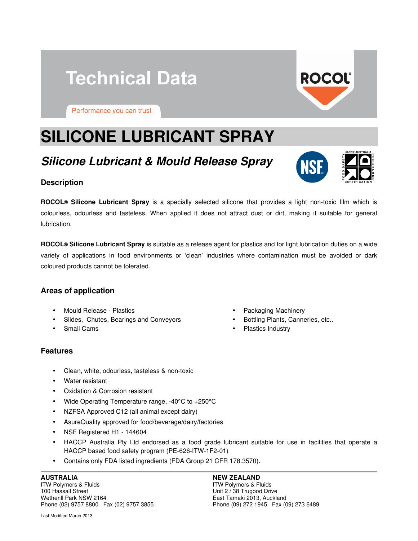# **Technical Data**

**ROCOL®** 

Performance you can trust

# **SILICONE LUBRICANT SPRAY**

# **Silicone Lubricant & Mould Release Spray**

# **Description**

**ROCOL® Silicone Lubricant Spray** is a specially selected silicone that provides a light non-toxic film which is colourless, odourless and tasteless. When applied it does not attract dust or dirt, making it suitable for general lubrication.

**ROCOL® Silicone Lubricant Spray** is suitable as a release agent for plastics and for light lubrication duties on a wide variety of applications in food environments or 'clean' industries where contamination must be avoided or dark coloured products cannot be tolerated.

#### **Areas of application**

- Mould Release Plastics
- Slides, Chutes, Bearings and Conveyors
- Small Cams

#### **Features**

- Clean, white, odourless, tasteless & non-toxic
- Water resistant
- Oxidation & Corrosion resistant
- Wide Operating Temperature range, -40°C to +250°C
- NZFSA Approved C12 (all animal except dairy)
- AsureQuality approved for food/beverage/dairy/factories
- NSF Registered H1 144604
- HACCP Australia Pty Ltd endorsed as a food grade lubricant suitable for use in facilities that operate a HACCP based food safety program (PE-626-ITW-1F2-01)
- Contains only FDA listed ingredients (FDA Group 21 CFR 178.3570).

#### **AUSTRALIA**

ITW Polymers & Fluids 100 Hassall Street Wetherill Park NSW 2164 Phone (02) 9757 8800 Fax (02) 9757 3855

Last Modified March 2013

- Packaging Machinery
- Bottling Plants, Canneries, etc..
- Plastics Industry

#### **NEW ZEALAND**

ITW Polymers & Fluids Unit 2 / 38 Trugood Drive East Tamaki 2013, Auckland Phone (09) 272 1945 Fax (09) 273 6489

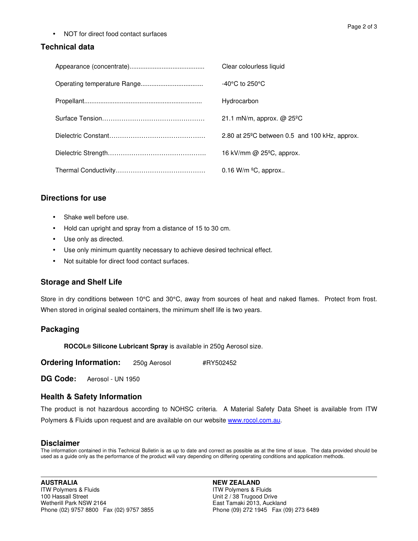• NOT for direct food contact surfaces

# **Technical data**

|  | Clear colourless liquid                                 |
|--|---------------------------------------------------------|
|  | $-40^{\circ}$ C to 250 $^{\circ}$ C                     |
|  | Hydrocarbon                                             |
|  | 21.1 mN/m, approx. $@$ 25 <sup>o</sup> C                |
|  | 2.80 at $25^{\circ}$ C between 0.5 and 100 kHz, approx. |
|  | 16 kV/mm @ $25^{\circ}$ C, approx.                      |
|  | 0.16 W/m $\mathrm{^{\circ}C}$ , approx                  |

# **Directions for use**

- Shake well before use.
- Hold can upright and spray from a distance of 15 to 30 cm.
- Use only as directed.
- Use only minimum quantity necessary to achieve desired technical effect.
- Not suitable for direct food contact surfaces.

# **Storage and Shelf Life**

Store in dry conditions between 10°C and 30°C, away from sources of heat and naked flames. Protect from frost. When stored in original sealed containers, the minimum shelf life is two years.

# **Packaging**

 **ROCOL® Silicone Lubricant Spray** is available in 250g Aerosol size.

**Ordering Information:** 250g Aerosol #RY502452

**DG Code:** Aerosol - UN 1950

# **Health & Safety Information**

The product is not hazardous according to NOHSC criteria. A Material Safety Data Sheet is available from ITW Polymers & Fluids upon request and are available on our website www.rocol.com.au.

#### **Disclaimer**

The information contained in this Technical Bulletin is as up to date and correct as possible as at the time of issue. The data provided should be used as a guide only as the performance of the product will vary depending on differing operating conditions and application methods.